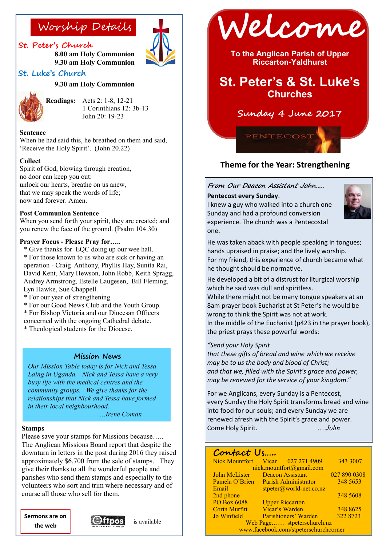### **St. Peter's Church**

**8.00 am Holy Communion 9.30 am Holy Communion**

# **St. Luke's Church**

### **9.30 am Holy Communion**



**Readings:** Acts 2: 1-8, 12-21 1 Corinthians 12: 3b-13 John 20: 19-23

#### **Sentence**

When he had said this, he breathed on them and said, 'Receive the Holy Spirit'. (John 20.22)

#### **Collect**

Spirit of God, blowing through creation, no door can keep you out: unlock our hearts, breathe on us anew, that we may speak the words of life; now and forever. Amen.

#### **Post Communion Sentence**

When you send forth your spirit, they are created; and you renew the face of the ground. (Psalm 104.30)

#### **Prayer Focus - Please Pray for…..**

\* Give thanks for EQC doing up our wee hall.

- \* For those known to us who are sick or having an operation - Craig Anthony, Phyllis Hay, Sunita Rai, David Kent, Mary Hewson, John Robb, Keith Spragg, Audrey Armstrong, Estelle Laugesen, Bill Fleming, Lyn Hawke, Sue Chappell.
- \* For our year of strengthening.
- \* For our Good News Club and the Youth Group.
- \* For Bishop Victoria and our Diocesan Officers

concerned with the ongoing Cathedral debate. \* Theological students for the Diocese.

#### **Mission News**

*Our Mission Table today is for Nick and Tessa Laing in Uganda. Nick and Tessa have a very busy life with the medical centres and the community groups. We give thanks for the relationships that Nick and Tessa have formed in their local neighbourhood. ….Irene Coman* 

# **Stamps**

Please save your stamps for Missions because….. The Anglican Missions Board report that despite the downturn in letters in the post during 2016 they raised approximately \$6,700 from the sale of stamps. They give their thanks to all the wonderful people and parishes who send them stamps and especially to the volunteers who sort and trim where necessary and of course all those who sell for them.

**Sermons are on the web**







**To the Anglican Parish of Upper Riccarton-Yaldhurst**

# **St. Peter's & St. Luke's Churches**

## **Sunday 4 June 2017**

**PENTECOS** 

### **Theme for the Year: Strengthening**

#### **From Our Deacon Assistant John…..**

#### **Pentecost every Sunday**.

I knew a guy who walked into a church one Sunday and had a profound conversion experience. The church was a Pentecostal one.



He was taken aback with people speaking in tongues; hands upraised in praise; and the lively worship. For my friend, this experience of church became what he thought should be normative.

He developed a bit of a distrust for liturgical worship which he said was dull and spiritless.

While there might not be many tongue speakers at an 8am prayer book Eucharist at St Peter's he would be wrong to think the Spirit was not at work. In the middle of the Eucharist (p423 in the prayer book), the priest prays these powerful words:

#### *"Send your Holy Spirit*

*that these gifts of bread and wine which we receive may be to us the body and blood of Christ; and that we, filled with the Spirit's grace and power, may be renewed for the service of your kingdom*."

For we Anglicans, every Sunday is a Pentecost, every Sunday the Holy Spirit transforms bread and wine into food for our souls; and every Sunday we are renewed afresh with the Spirit's grace and power. Come Holy Spirit. ….*John*

### Contact Us

| <b>Nick Mountfort</b>                 |                             | Vicar $0272714909$                | 343 3007     |
|---------------------------------------|-----------------------------|-----------------------------------|--------------|
| nick.mountfort@gmail.com              |                             |                                   |              |
| John McLister                         | <b>Deacon Assistant</b>     |                                   | 027 890 0308 |
| Pamela O'Brien                        | <b>Parish Administrator</b> |                                   | 348 5653     |
| Email                                 |                             | $stpeter(\omega)$ world-net.co.nz |              |
| 2nd phone                             |                             |                                   | 348 5608     |
| PO Box 6088                           | <b>Upper Riccarton</b>      |                                   |              |
| <b>Corin Murfitt</b>                  | Vicar's Warden              |                                   | 348 8625     |
| Jo Winfield                           |                             | Parishioners' Warden              | 322 8723     |
| Web Page stpeterschurch.nz            |                             |                                   |              |
| www.facebook.com/stpeterschurchcorner |                             |                                   |              |